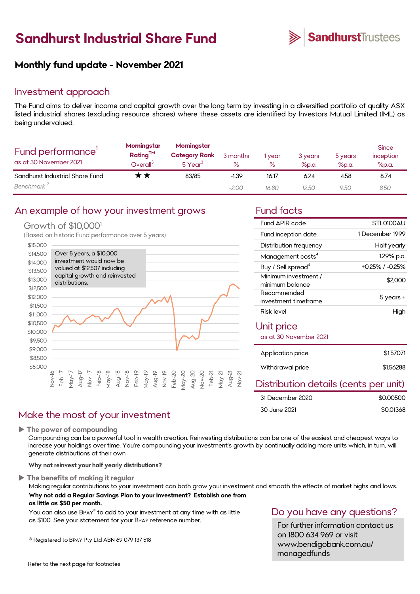# **Sandhurst Industrial Share Fund**



### **Monthly fund update - November 2021**

### Investment approach

The Fund aims to deliver income and capital growth over the long term by investing in a diversified portfolio of quality ASX listed industrial shares (excluding resource shares) where these assets are identified by Investors Mutual Limited (IML) as being undervalued.

| Fund performance'<br>as at 30 November 2021 | Morningstar<br>Rating <sup>TM</sup><br>$\mathsf{D}$ verall $^{\mathsf{S}}$ | Morningstar<br><b>Category Rank</b><br>$5$ Year <sup>3</sup> | 3 months<br>℅ | year<br>$\%$ | 3 years<br>$%$ p.a. | 5 years<br>$%$ p.a. | <b>Since</b><br>inception<br>%p.a. |
|---------------------------------------------|----------------------------------------------------------------------------|--------------------------------------------------------------|---------------|--------------|---------------------|---------------------|------------------------------------|
| Sandhurst Industrial Share Fund             | $\boldsymbol{\kappa}\boldsymbol{\times}$                                   | 83/85                                                        | $-1.39$       | 16.17        | 6.24                | 4.58                | 8.74                               |
| Benchmark <sup>2</sup>                      |                                                                            |                                                              | $-2.00$       | 16.80        | 12.50               | 9.50                | 8.50                               |

### An example of how your investment grows Fund facts

### Growth of \$10,000<sup>1</sup>

(Based on historic Fund performance over 5 years)



| Fund APIR code                          | STL0100AU             |
|-----------------------------------------|-----------------------|
| Fund inception date                     | 1 December 1999       |
| Distribution frequency                  | Half yearly           |
| Management costs <sup>4</sup>           | 1.29% p.a.            |
| Buy / Sell spread <sup>4</sup>          | $+0.25\%$ / $-0.25\%$ |
| Minimum investment /<br>minimum balance | \$2,000               |
| Recommended<br>investment timeframe     | 5 years +             |
| Risk level                              | High                  |
| Unit price<br>as at 30 November 2021    |                       |
| Application price                       | \$1.57071             |
| Withdrawal price                        | \$1.56288             |
|                                         |                       |

### Distribution details (cents per unit)

| 31 December 2020 | \$0,00500 |
|------------------|-----------|
| 30 June 2021     | \$0.01368 |

### Make the most of your investment

**The power of compounding**

Compounding can be a powerful tool in wealth creation. Reinvesting distributions can be one of the easiest and cheapest ways to increase your holdings over time. You're compounding your investment's growth by continually adding more units which, in turn, will generate distributions of their own.

**Why not reinvest your half yearly distributions?**

#### **The benefits of making it regular**

Making regular contributions to your investment can both grow your investment and smooth the effects of market highs and lows. **Why not add a Regular Savings Plan to your investment? Establish one from as little as \$50 per month.** 

You can also use BPAY® to add to your investment at any time with as little as \$100. See your statement for your BPAY reference number.

® Registered to BPAY Pty Ltd ABN 69 079 137 518

## Do you have any questions?

For further information contact us on 1800 634 969 or visit www.bendigobank.com.au/ managedfunds